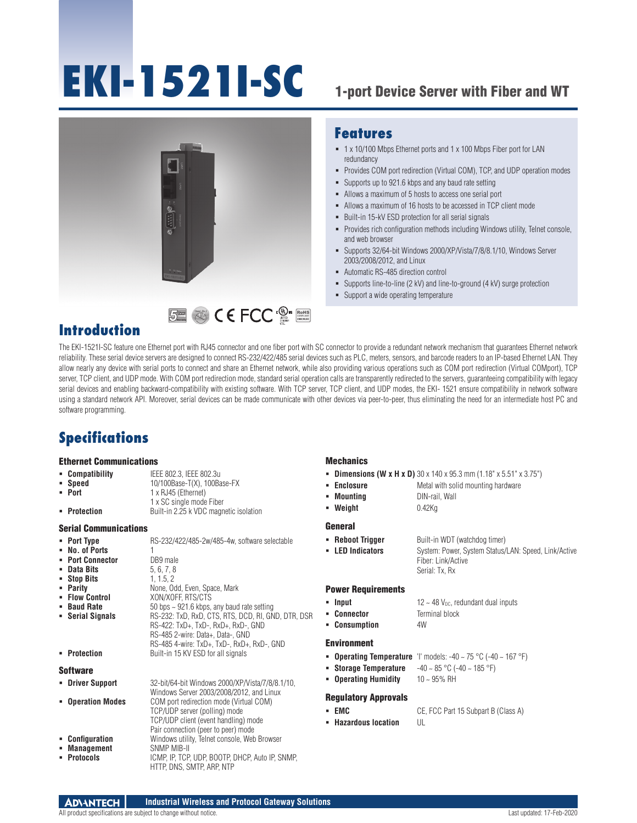# **EKI-1521I-SC**



### **Features**

- 1 x 10/100 Mbps Ethernet ports and 1 x 100 Mbps Fiber port for LAN redundancy
- Provides COM port redirection (Virtual COM), TCP, and UDP operation modes
- Supports up to 921.6 kbps and any baud rate setting
- Allows a maximum of 5 hosts to access one serial port
- Allows a maximum of 16 hosts to be accessed in TCP client mode
- Built-in 15-kV ESD protection for all serial signals
- Provides rich configuration methods including Windows utility, Telnet console, and web browser
- Supports 32/64-bit Windows 2000/XP/Vista/7/8/8.1/10, Windows Server 2003/2008/2012, and Linux
- Automatic RS-485 direction control
- Supports line-to-line (2 kV) and line-to-ground (4 kV) surge protection
- **Support a wide operating temperature**

## **Introduction**

The EKI-1521I-SC feature one Ethernet port with RJ45 connector and one fiber port with SC connector to provide a redundant network mechanism that guarantees Ethernet network reliability. These serial device servers are designed to connect RS-232/422/485 serial devices such as PLC, meters, sensors, and barcode readers to an IP-based Ethernet LAN. They allow nearly any device with serial ports to connect and share an Ethernet network, while also providing various operations such as COM port redirection (Virtual COMport), TCP server, TCP client, and UDP mode. With COM port redirection mode, standard serial operation calls are transparently redirected to the servers, guaranteeing compatibility with legacy serial devices and enabling backward-compatibility with existing software. With TCP server, TCP client, and UDP modes, the EKI- 1521 ensure compatibility in network software using a standard network API. Moreover, serial devices can be made communicate with other devices via peer-to-peer, thus eliminating the need for an intermediate host PC and software programming.

RoHS **COMPLIANT 2002/95/EC**

## **Specifications**

#### Ethernet Communications

- **Compatibility** IEEE 802.3, IEEE 802.3u<br>**Speed** 10/100Base-T(X), 100Ba
- 
- **Speed** 10/100Base-T(X), 100Base-FX<br> **Port** 1 x R.145 (Ethernet)
	- **Port** 1 x RJ45 (Ethernet) 1 x SC single mode Fiber
- **Protection** Built-in 2.25 k VDC magnetic isolation

#### Serial Communications

- **Port Type** RS-232/422/485-2w/485-4w, software selectable
- **No. of Ports** 1<br>**Port Connector** DB9 male
- **Port Connector** DB9 male<br>Data Bits 5.6.7.8
- **Data Bits** 5, 6, 7, 8<br>**Bits** 5, 6, 7, 8<br>**Bits** 5, 1, 1.5, 2
- **Stop Bits<br>Parity**
- **Parity None, Odd, Even, Space, Mark**<br>**Primary Control CON XON/XOFE RTS/CTS**
- **Flow Control** XON/XOFF, RTS/CTS<br> **Baud Rate** 50 bps ~ 921.6 kbps,
- 
- **Baud Rate** 50 bps ~ 921.6 kbps, any baud rate setting<br>**Back Back Back State State Setting** RS-232: TxD, RxD, CTS, RTS, DCD, RI, GN **Serial Signals** RS-232: TxD, RxD, CTS, RTS, DCD, RI, GND, DTR, DSR RS-422: TxD+, TxD-, RxD+, RxD-, GND RS-485 2-wire: Data+, Data-, GND RS-485 4-wire: TxD+, TxD-, RxD+, RxD-, GND
- **Protection** Built-in 15 KV ESD for all signals
- **Software**
- 

| • Driver Support  | 32-bit/64-bit Windows 2000/XP/Vista/7/8/8.1/10, |
|-------------------|-------------------------------------------------|
|                   | Windows Server 2003/2008/2012, and Linux        |
| • Operation Modes | COM port redirection mode (Virtual COM)         |
|                   | TCP/UDP server (polling) mode                   |
|                   | TCP/UDP client (event handling) mode            |
|                   | Pair connection (peer to peer) mode             |
| • Configuration   | Windows utility, Telnet console, Web Browser    |
| • Management      | <b>SNMP MIB-II</b>                              |
| • Protocols       | ICMP, IP, TCP, UDP, BOOTP, DHCP, Auto IP, SNMP, |
|                   | HTTP, DNS, SMTP, ARP, NTP                       |

#### **Mechanics**

- **Dimensions (W x H x D)** 30 x 140 x 95.3 mm (1.18" x 5.51" x 3.75")
- **Enclosure** Metal with solid mounting hardware
- **Mounting DIN-rail, Wall**
- **Weight** 0.42Kg

#### **General**

**Reboot Trigger** Built-in WDT (watchdog timer) **LED Indicators** System: Power, System Status/LAN: Speed, Link/Active Fiber: Link/Active Serial: Tx, Rx

#### Power Requirements

- **Input**  $12 \sim 48$  V<sub>DC</sub>, redundant dual inputs
- **Connector Terminal block Consumption** 4W

#### Environment

- **Operating Temperature** 'I' models:  $-40 \sim 75 \degree C$  ( $-40 \sim 167 \degree F$ )
- **Storage Temperature** -40 ~ 85 °C (-40 ~ 185 °F)
- **Operating Humidity** 10 ~ 95% RH

#### Regulatory Approvals

- 
- **Hazardous location** UL
- **EMC** CE, FCC Part 15 Subpart B (Class A)
-